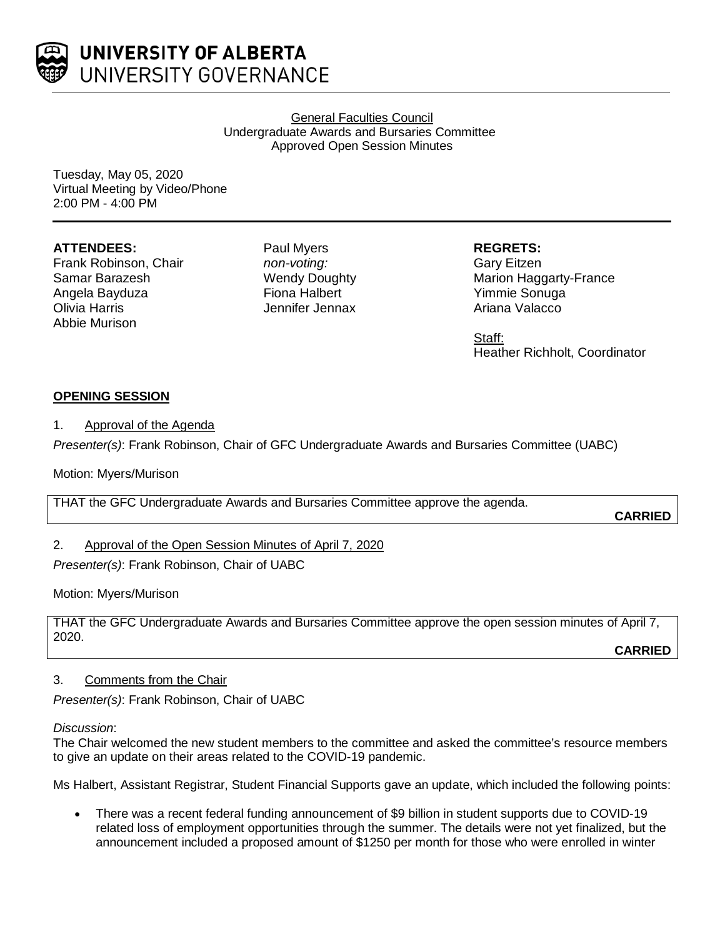

UNIVERSITY OF ALBERTA UNIVERSITY GOVERNANCE

> General Faculties Council Undergraduate Awards and Bursaries Committee Approved Open Session Minutes

Tuesday, May 05, 2020 Virtual Meeting by Video/Phone 2:00 PM - 4:00 PM

## **ATTENDEES:**

Frank Robinson, Chair Samar Barazesh Angela Bayduza Olivia Harris Abbie Murison

Paul Myers *non-voting:* Wendy Doughty Fiona Halbert Jennifer Jennax

### **REGRETS:**

Gary Eitzen Marion Haggarty-France Yimmie Sonuga Ariana Valacco

Staff: Heather Richholt, Coordinator

# **OPENING SESSION**

### 1. Approval of the Agenda

*Presenter(s)*: Frank Robinson, Chair of GFC Undergraduate Awards and Bursaries Committee (UABC)

Motion: Myers/Murison

THAT the GFC Undergraduate Awards and Bursaries Committee approve the agenda.

**CARRIED**

2. Approval of the Open Session Minutes of April 7, 2020

*Presenter(s)*: Frank Robinson, Chair of UABC

### Motion: Myers/Murison

THAT the GFC Undergraduate Awards and Bursaries Committee approve the open session minutes of April 7, 2020.

**CARRIED**

### 3. Comments from the Chair

*Presenter(s)*: Frank Robinson, Chair of UABC

### *Discussion*:

The Chair welcomed the new student members to the committee and asked the committee's resource members to give an update on their areas related to the COVID-19 pandemic.

Ms Halbert, Assistant Registrar, Student Financial Supports gave an update, which included the following points:

• There was a recent federal funding announcement of \$9 billion in student supports due to COVID-19 related loss of employment opportunities through the summer. The details were not yet finalized, but the announcement included a proposed amount of \$1250 per month for those who were enrolled in winter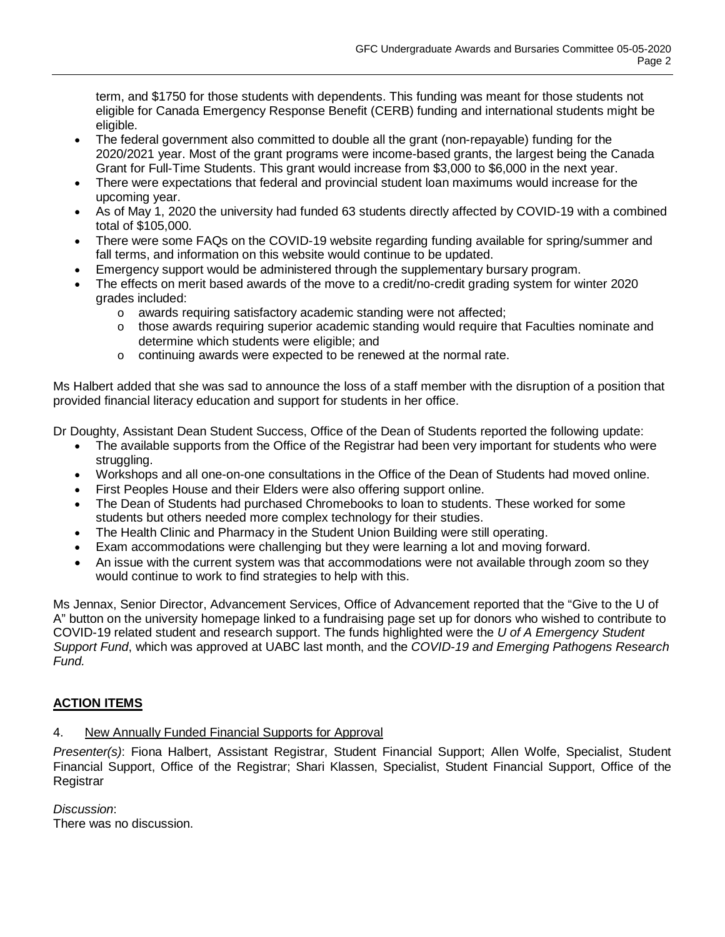term, and \$1750 for those students with dependents. This funding was meant for those students not eligible for Canada Emergency Response Benefit (CERB) funding and international students might be eligible.

- The federal government also committed to double all the grant (non-repayable) funding for the 2020/2021 year. Most of the grant programs were income-based grants, the largest being the Canada Grant for Full-Time Students. This grant would increase from \$3,000 to \$6,000 in the next year.
- There were expectations that federal and provincial student loan maximums would increase for the upcoming year.
- As of May 1, 2020 the university had funded 63 students directly affected by COVID-19 with a combined total of \$105,000.
- There were some FAQs on the COVID-19 website regarding funding available for spring/summer and fall terms, and information on this website would continue to be updated.
- Emergency support would be administered through the supplementary bursary program.
- The effects on merit based awards of the move to a credit/no-credit grading system for winter 2020 grades included:
	- o awards requiring satisfactory academic standing were not affected;
	- o those awards requiring superior academic standing would require that Faculties nominate and determine which students were eligible; and
	- o continuing awards were expected to be renewed at the normal rate.

Ms Halbert added that she was sad to announce the loss of a staff member with the disruption of a position that provided financial literacy education and support for students in her office.

Dr Doughty, Assistant Dean Student Success, Office of the Dean of Students reported the following update:

- The available supports from the Office of the Registrar had been very important for students who were struggling.
- Workshops and all one-on-one consultations in the Office of the Dean of Students had moved online.
- First Peoples House and their Elders were also offering support online.
- The Dean of Students had purchased Chromebooks to loan to students. These worked for some students but others needed more complex technology for their studies.
- The Health Clinic and Pharmacy in the Student Union Building were still operating.
- Exam accommodations were challenging but they were learning a lot and moving forward.
- An issue with the current system was that accommodations were not available through zoom so they would continue to work to find strategies to help with this.

Ms Jennax, Senior Director, Advancement Services, Office of Advancement reported that the "Give to the U of A" button on the university homepage linked to a fundraising page set up for donors who wished to contribute to COVID-19 related student and research support. The funds highlighted were the *U of A Emergency Student Support Fund*, which was approved at UABC last month, and the *COVID-19 and Emerging Pathogens Research Fund.*

# **ACTION ITEMS**

# 4. New Annually Funded Financial Supports for Approval

*Presenter(s)*: Fiona Halbert, Assistant Registrar, Student Financial Support; Allen Wolfe, Specialist, Student Financial Support, Office of the Registrar; Shari Klassen, Specialist, Student Financial Support, Office of the **Registrar** 

*Discussion*:

There was no discussion.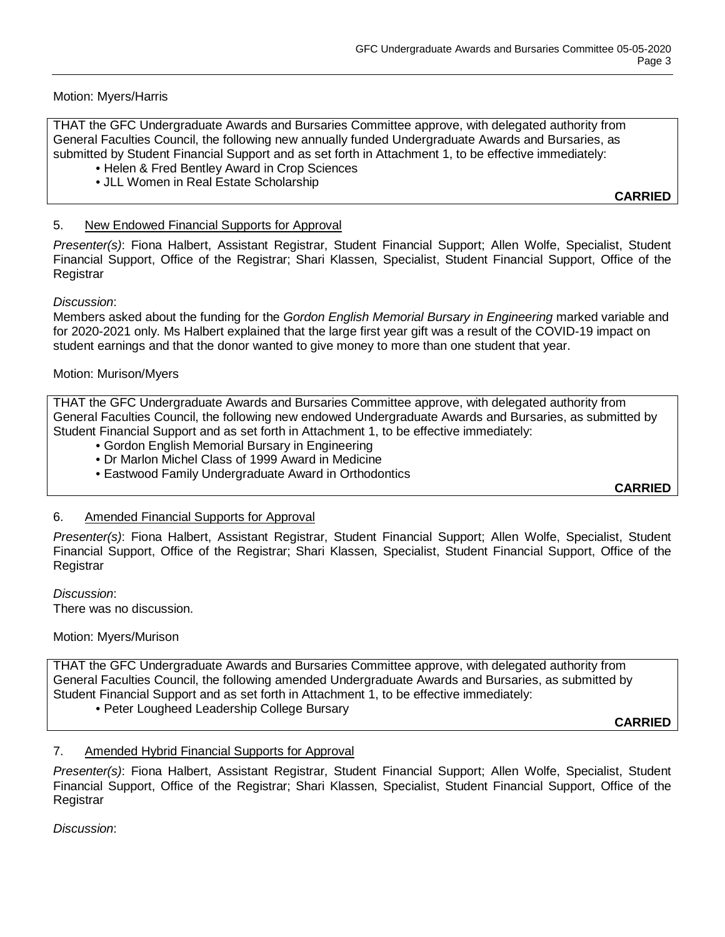## Motion: Myers/Harris

THAT the GFC Undergraduate Awards and Bursaries Committee approve, with delegated authority from General Faculties Council, the following new annually funded Undergraduate Awards and Bursaries, as submitted by Student Financial Support and as set forth in Attachment 1, to be effective immediately:

- Helen & Fred Bentley Award in Crop Sciences
- JLL Women in Real Estate Scholarship

**CARRIED**

### 5. New Endowed Financial Supports for Approval

*Presenter(s)*: Fiona Halbert, Assistant Registrar, Student Financial Support; Allen Wolfe, Specialist, Student Financial Support, Office of the Registrar; Shari Klassen, Specialist, Student Financial Support, Office of the **Registrar** 

### *Discussion*:

Members asked about the funding for the *Gordon English Memorial Bursary in Engineering* marked variable and for 2020-2021 only. Ms Halbert explained that the large first year gift was a result of the COVID-19 impact on student earnings and that the donor wanted to give money to more than one student that year.

### Motion: Murison/Myers

THAT the GFC Undergraduate Awards and Bursaries Committee approve, with delegated authority from General Faculties Council, the following new endowed Undergraduate Awards and Bursaries, as submitted by Student Financial Support and as set forth in Attachment 1, to be effective immediately:

- Gordon English Memorial Bursary in Engineering
- Dr Marlon Michel Class of 1999 Award in Medicine
- Eastwood Family Undergraduate Award in Orthodontics

**CARRIED**

### 6. Amended Financial Supports for Approval

*Presenter(s)*: Fiona Halbert, Assistant Registrar, Student Financial Support; Allen Wolfe, Specialist, Student Financial Support, Office of the Registrar; Shari Klassen, Specialist, Student Financial Support, Office of the **Registrar** 

*Discussion*:

There was no discussion.

### Motion: Myers/Murison

THAT the GFC Undergraduate Awards and Bursaries Committee approve, with delegated authority from General Faculties Council, the following amended Undergraduate Awards and Bursaries, as submitted by Student Financial Support and as set forth in Attachment 1, to be effective immediately:

• Peter Lougheed Leadership College Bursary

**CARRIED**

### 7. Amended Hybrid Financial Supports for Approval

*Presenter(s)*: Fiona Halbert, Assistant Registrar, Student Financial Support; Allen Wolfe, Specialist, Student Financial Support, Office of the Registrar; Shari Klassen, Specialist, Student Financial Support, Office of the Registrar

*Discussion*: